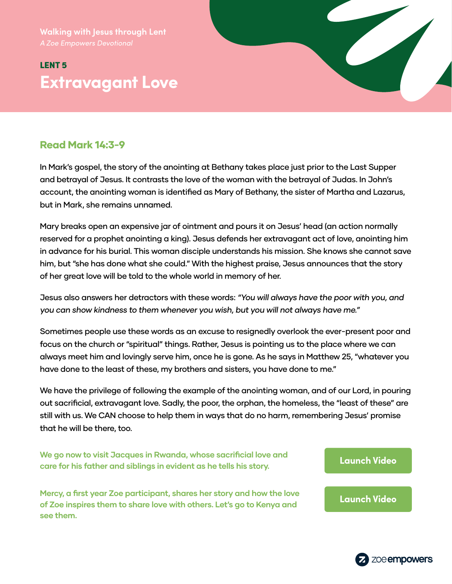**Walking with Jesus through Lent**

# LENT 5 **Extravagant Love**



**see them.**

In Mark's gospel, the story of the anointing at Bethany takes place just prior to the Last Supper and betrayal of Jesus. It contrasts the love of the woman with the betrayal of Judas. In John's account, the anointing woman is identified as Mary of Bethany, the sister of Martha and Lazarus, but in Mark, she remains unnamed.

Mary breaks open an expensive jar of ointment and pours it on Jesus' head (an action normally reserved for a prophet anointing a king). Jesus defends her extravagant act of love, anointing him in advance for his burial. This woman disciple understands his mission. She knows she cannot save him, but "she has done what she could." With the highest praise, Jesus announces that the story of her great love will be told to the whole world in memory of her.

Jesus also answers her detractors with these words: "You will always have the poor with you, and you can show kindness to them whenever you wish, but you will not always have me."

Sometimes people use these words as an excuse to resignedly overlook the ever-present poor and focus on the church or "spiritual" things. Rather, Jesus is pointing us to the place where we can always meet him and lovingly serve him, once he is gone. As he says in Matthew 25, "whatever you have done to the least of these, my brothers and sisters, you have done to me."

We have the privilege of following the example of the anointing woman, and of our Lord, in pouring out sacrificial, extravagant love. Sadly, the poor, the orphan, the homeless, the "least of these" are still with us. We CAN choose to help them in ways that do no harm, remembering Jesus' promise that he will be there, too.

**We go now to visit Jacques in Rwanda, whose sacrificial love and care for his father and siblings in evident as he tells his story. [Launch Video](https://zmpw.rs/Jacques) Mercy, a first year Zoe participant, shares her story and how the love of Zoe inspires them to share love with others. Let's go to Kenya and [Launch Video](https://zmpw.rs/Mercy)**